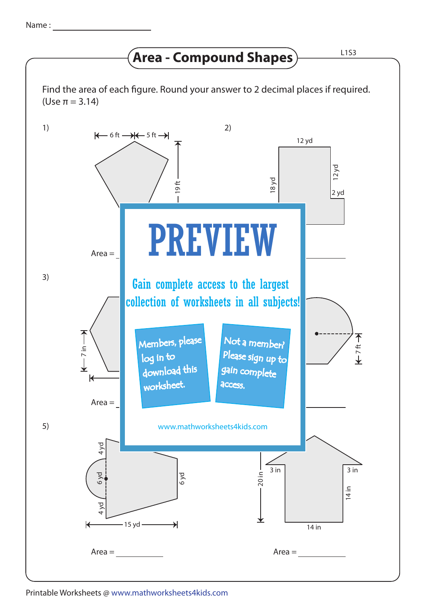## **Area - Compound Shapes**  $\rule{1em}{0.153}$

Find the area of each figure. Round your answer to 2 decimal places if required. (Use π = 3.14)